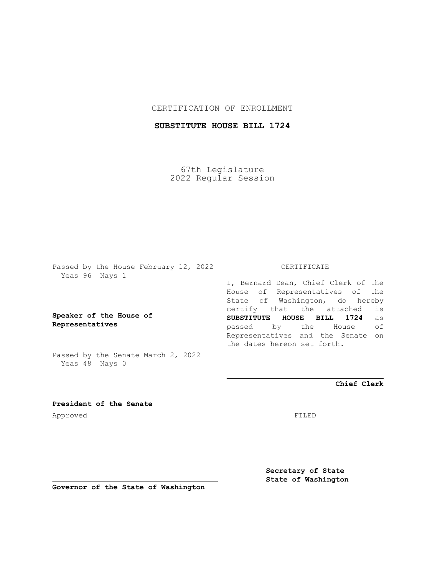## CERTIFICATION OF ENROLLMENT

# **SUBSTITUTE HOUSE BILL 1724**

67th Legislature 2022 Regular Session

Passed by the House February 12, 2022 Yeas 96 Nays 1

**Speaker of the House of Representatives**

Passed by the Senate March 2, 2022 Yeas 48 Nays 0

## CERTIFICATE

I, Bernard Dean, Chief Clerk of the House of Representatives of the State of Washington, do hereby certify that the attached is **SUBSTITUTE HOUSE BILL 1724** as passed by the House of Representatives and the Senate on the dates hereon set forth.

**Chief Clerk**

**President of the Senate** Approved FILED

**Secretary of State State of Washington**

**Governor of the State of Washington**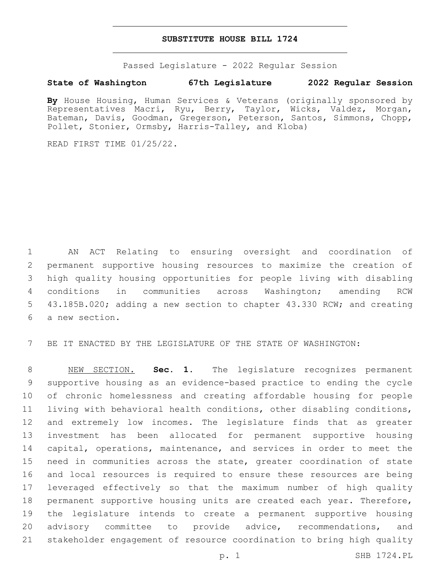#### **SUBSTITUTE HOUSE BILL 1724**

Passed Legislature - 2022 Regular Session

### **State of Washington 67th Legislature 2022 Regular Session**

**By** House Housing, Human Services & Veterans (originally sponsored by Representatives Macri, Ryu, Berry, Taylor, Wicks, Valdez, Morgan, Bateman, Davis, Goodman, Gregerson, Peterson, Santos, Simmons, Chopp, Pollet, Stonier, Ormsby, Harris-Talley, and Kloba)

READ FIRST TIME 01/25/22.

 AN ACT Relating to ensuring oversight and coordination of permanent supportive housing resources to maximize the creation of high quality housing opportunities for people living with disabling conditions in communities across Washington; amending RCW 43.185B.020; adding a new section to chapter 43.330 RCW; and creating 6 a new section.

BE IT ENACTED BY THE LEGISLATURE OF THE STATE OF WASHINGTON:

 NEW SECTION. **Sec. 1.** The legislature recognizes permanent supportive housing as an evidence-based practice to ending the cycle of chronic homelessness and creating affordable housing for people living with behavioral health conditions, other disabling conditions, and extremely low incomes. The legislature finds that as greater investment has been allocated for permanent supportive housing capital, operations, maintenance, and services in order to meet the need in communities across the state, greater coordination of state and local resources is required to ensure these resources are being leveraged effectively so that the maximum number of high quality permanent supportive housing units are created each year. Therefore, the legislature intends to create a permanent supportive housing 20 advisory committee to provide advice, recommendations, and stakeholder engagement of resource coordination to bring high quality

p. 1 SHB 1724.PL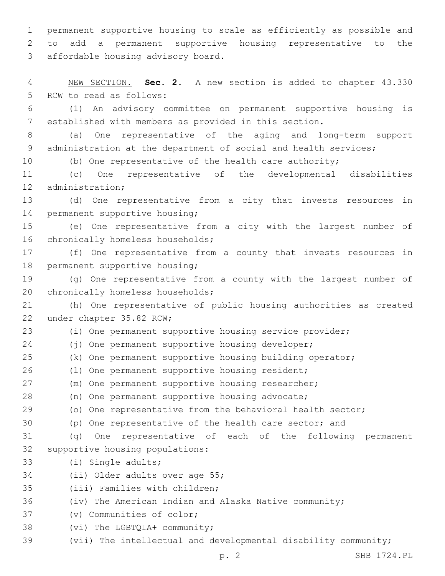1 permanent supportive housing to scale as efficiently as possible and 2 to add a permanent supportive housing representative to the 3 affordable housing advisory board.

4 NEW SECTION. **Sec. 2.** A new section is added to chapter 43.330 5 RCW to read as follows:

6 (1) An advisory committee on permanent supportive housing is 7 established with members as provided in this section.

8 (a) One representative of the aging and long-term support 9 administration at the department of social and health services;

10 (b) One representative of the health care authority;

11 (c) One representative of the developmental disabilities 12 administration;

13 (d) One representative from a city that invests resources in 14 permanent supportive housing;

15 (e) One representative from a city with the largest number of 16 chronically homeless households;

17 (f) One representative from a county that invests resources in 18 permanent supportive housing;

19 (g) One representative from a county with the largest number of 20 chronically homeless households;

21 (h) One representative of public housing authorities as created 22 under chapter 35.82 RCW;

23 (i) One permanent supportive housing service provider;

24 (j) One permanent supportive housing developer;

25 (k) One permanent supportive housing building operator;

26 (1) One permanent supportive housing resident;

27 (m) One permanent supportive housing researcher;

28 (n) One permanent supportive housing advocate;

29 (o) One representative from the behavioral health sector;

30 (p) One representative of the health care sector; and

31 (q) One representative of each of the following permanent 32 supportive housing populations:

33 (i) Single adults;

34 (ii) Older adults over age 55;

35 (iii) Families with children;

36 (iv) The American Indian and Alaska Native community;

37 (v) Communities of color;

38 (vi) The LGBTQIA+ community;

39 (vii) The intellectual and developmental disability community;

p. 2 SHB 1724.PL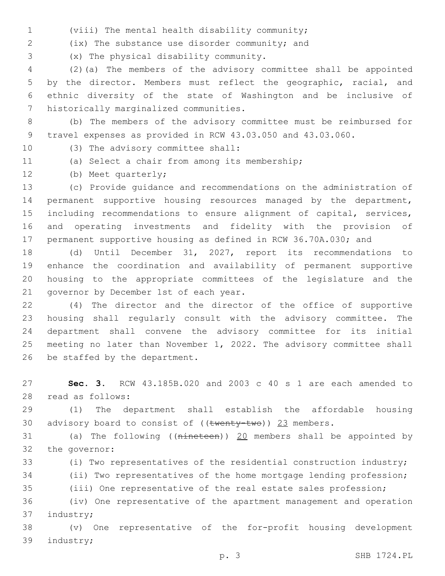(viii) The mental health disability community;1

(ix) The substance use disorder community; and2

(x) The physical disability community.3

 (2)(a) The members of the advisory committee shall be appointed by the director. Members must reflect the geographic, racial, and ethnic diversity of the state of Washington and be inclusive of 7 historically marginalized communities.

 (b) The members of the advisory committee must be reimbursed for travel expenses as provided in RCW 43.03.050 and 43.03.060.

- 10 (3) The advisory committee shall:
- 
- 11 (a) Select a chair from among its membership;
- 12 (b) Meet quarterly;

 (c) Provide guidance and recommendations on the administration of permanent supportive housing resources managed by the department, including recommendations to ensure alignment of capital, services, and operating investments and fidelity with the provision of permanent supportive housing as defined in RCW 36.70A.030; and

 (d) Until December 31, 2027, report its recommendations to enhance the coordination and availability of permanent supportive housing to the appropriate committees of the legislature and the 21 governor by December 1st of each year.

 (4) The director and the director of the office of supportive housing shall regularly consult with the advisory committee. The department shall convene the advisory committee for its initial meeting no later than November 1, 2022. The advisory committee shall 26 be staffed by the department.

 **Sec. 3.** RCW 43.185B.020 and 2003 c 40 s 1 are each amended to 28 read as follows:

 (1) The department shall establish the affordable housing 30 advisory board to consist of  $((\text{twenty-two}))$  23 members.

 (a) The following ((nineteen)) 20 members shall be appointed by 32 the governor:

(i) Two representatives of the residential construction industry;

(ii) Two representatives of the home mortgage lending profession;

(iii) One representative of the real estate sales profession;

 (iv) One representative of the apartment management and operation 37 industry;

 (v) One representative of the for-profit housing development 39 industry;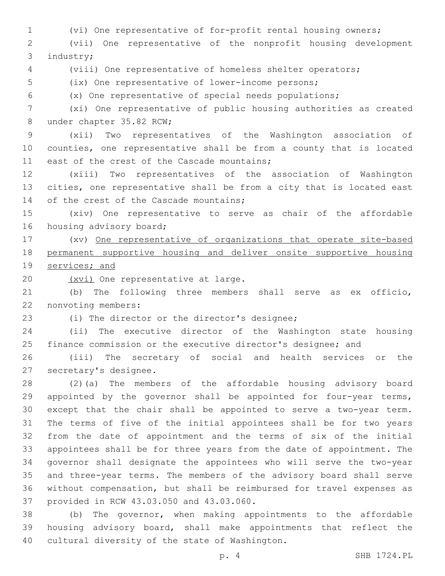(vi) One representative of for-profit rental housing owners;

 (vii) One representative of the nonprofit housing development 3 industry;

(viii) One representative of homeless shelter operators;

(ix) One representative of lower-income persons;

(x) One representative of special needs populations;

 (xi) One representative of public housing authorities as created 8 under chapter 35.82 RCW;

 (xii) Two representatives of the Washington association of counties, one representative shall be from a county that is located 11 east of the crest of the Cascade mountains;

 (xiii) Two representatives of the association of Washington cities, one representative shall be from a city that is located east 14 of the crest of the Cascade mountains;

 (xiv) One representative to serve as chair of the affordable 16 housing advisory board;

 (xv) One representative of organizations that operate site-based permanent supportive housing and deliver onsite supportive housing services; and

20 (xvi) One representative at large.

 (b) The following three members shall serve as ex officio, 22 nonvoting members:

23 (i) The director or the director's designee;

 (ii) The executive director of the Washington state housing finance commission or the executive director's designee; and

 (iii) The secretary of social and health services or the 27 secretary's designee.

 (2)(a) The members of the affordable housing advisory board appointed by the governor shall be appointed for four-year terms, except that the chair shall be appointed to serve a two-year term. The terms of five of the initial appointees shall be for two years from the date of appointment and the terms of six of the initial appointees shall be for three years from the date of appointment. The governor shall designate the appointees who will serve the two-year and three-year terms. The members of the advisory board shall serve without compensation, but shall be reimbursed for travel expenses as 37 provided in RCW 43.03.050 and 43.03.060.

 (b) The governor, when making appointments to the affordable housing advisory board, shall make appointments that reflect the 40 cultural diversity of the state of Washington.